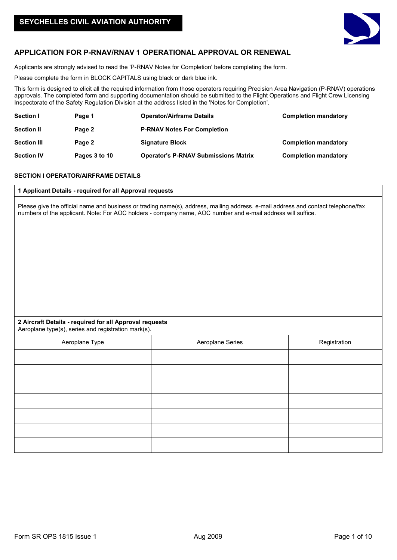

# **APPLICATION FOR P-RNAV/RNAV 1 OPERATIONAL APPROVAL OR RENEWAL**

Applicants are strongly advised to read the 'P-RNAV Notes for Completion' before completing the form.

Please complete the form in BLOCK CAPITALS using black or dark blue ink.

This form is designed to elicit all the required information from those operators requiring Precision Area Navigation (P-RNAV) operations approvals. The completed form and supporting documentation should be submitted to the Flight Operations and Flight Crew Licensing Inspectorate of the Safety Regulation Division at the address listed in the 'Notes for Completion'.

| Section I          | Page 1        | <b>Operator/Airframe Details</b>            | <b>Completion mandatory</b> |
|--------------------|---------------|---------------------------------------------|-----------------------------|
| <b>Section II</b>  | Page 2        | <b>P-RNAV Notes For Completion</b>          |                             |
| <b>Section III</b> | Page 2        | <b>Signature Block</b>                      | <b>Completion mandatory</b> |
| <b>Section IV</b>  | Pages 3 to 10 | <b>Operator's P-RNAV Submissions Matrix</b> | <b>Completion mandatory</b> |

# **SECTION I OPERATOR/AIRFRAME DETAILS**

# **1 Applicant Details - required for all Approval requests**

Please give the official name and business or trading name(s), address, mailing address, e-mail address and contact telephone/fax numbers of the applicant. Note: For AOC holders - company name, AOC number and e-mail address will suffice.

# **2 Aircraft Details - required for all Approval requests** Aeroplane type(s), series and registration mark(s).

| Aeroplane Type | Aeroplane Series | Registration |
|----------------|------------------|--------------|
|                |                  |              |
|                |                  |              |
|                |                  |              |
|                |                  |              |
|                |                  |              |
|                |                  |              |
|                |                  |              |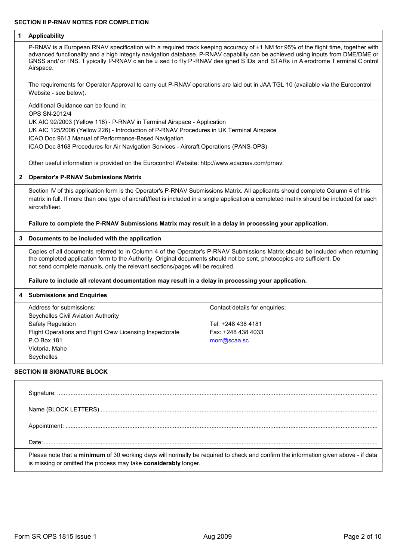# **1 Applicability**

P-RNAV is a European RNAV specification with a required track keeping accuracy of ±1 NM for 95% of the flight time, together with advanced functionality and a high integrity navigation database. P-RNAV capability can be achieved using inputs from DME/DME or GNSS and/ or INS. Typically P-RNAV c an be u sed to fly P-RNAV designed SIDs and STARs in A erodrome T erminal C ontrol Airspace.

The requirements for Operator Approval to carry out P-RNAV operations are laid out in JAA TGL 10 (available via the Eurocontrol Website - see below).

Additional Guidance can be found in:

OPS SN-2012/4

UK AIC 92/2003 (Yellow 116) - P-RNAV in Terminal Airspace - Application

UK AIC 125/2006 (Yellow 226) - Introduction of P-RNAV Procedures in UK Terminal Airspace

ICAO Doc 9613 Manual of Performance-Based Navigation

ICAO Doc 8168 Procedures for Air Navigation Services - Aircraft Operations (PANS-OPS)

Other useful information is provided on the Eurocontrol Website: http://www.ecacnav.com/prnav.

## **2 Operator's P-RNAV Submissions Matrix**

Section IV of this application form is the Operator's P-RNAV Submissions Matrix. All applicants should complete Column 4 of this matrix in full. If more than one type of aircraft/fleet is included in a single application a completed matrix should be included for each aircraft/fleet.

**Failure to complete the P-RNAV Submissions Matrix may result in a delay in processing your application.**

#### **3 Documents to be included with the application**

Copies of all documents referred to in Column 4 of the Operator's P-RNAV Submissions Matrix should be included when returning the completed application form to the Authority. Original documents should not be sent, photocopies are sufficient. Do not send complete manuals, only the relevant sections/pages will be required.

# **Failure to include all relevant documentation may result in a delay in processing your application.**

#### **4 Submissions and Enquiries**

Address for submissions:  $\blacksquare$ Seychelles Civil Aviation Authority Safety Regulation Tel: +248 438 4181 Flight Operations and Flight Crew Licensing Inspectorate Fax: +248 438 4033 P.O Box 181 morrow and the contract of the contract of the contract of the contract of the contract of the contract of the contract of the contract of the contract of the contract of the contract of the contract of the con Victoria, Mahe Seychelles

# **SECTION III SIGNATURE BLOCK**

| Please note that a minimum of 30 working days will normally be required to check and confirm the information given above - if data<br>is missing or omitted the process may take considerably longer. |
|-------------------------------------------------------------------------------------------------------------------------------------------------------------------------------------------------------|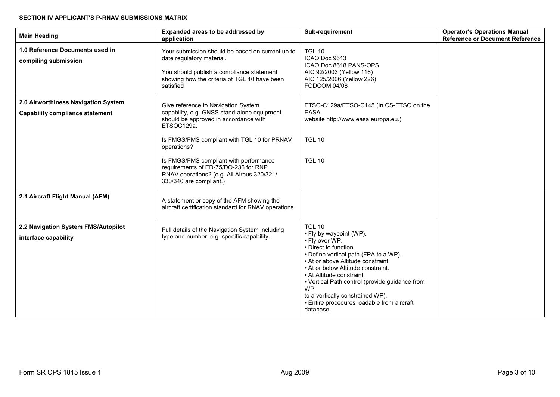# **SECTION IV APPLICANT'S P-RNAV SUBMISSIONS MATRIX**

| <b>Main Heading</b>                                                           | Expanded areas to be addressed by<br>application                                                                                                                                                                                                                                                                                                                   | Sub-requirement                                                                                                                                                                                                                                                                                                                                                                                     | <b>Operator's Operations Manual</b><br><b>Reference or Document Reference</b> |
|-------------------------------------------------------------------------------|--------------------------------------------------------------------------------------------------------------------------------------------------------------------------------------------------------------------------------------------------------------------------------------------------------------------------------------------------------------------|-----------------------------------------------------------------------------------------------------------------------------------------------------------------------------------------------------------------------------------------------------------------------------------------------------------------------------------------------------------------------------------------------------|-------------------------------------------------------------------------------|
| 1.0 Reference Documents used in<br>compiling submission                       | Your submission should be based on current up to<br>date regulatory material.<br>You should publish a compliance statement<br>showing how the criteria of TGL 10 have been<br>satisfied                                                                                                                                                                            | <b>TGL 10</b><br>ICAO Doc 9613<br>ICAO Doc 8618 PANS-OPS<br>AIC 92/2003 (Yellow 116)<br>AIC 125/2006 (Yellow 226)<br>FODCOM 04/08                                                                                                                                                                                                                                                                   |                                                                               |
| 2.0 Airworthiness Navigation System<br><b>Capability compliance statement</b> | Give reference to Navigation System<br>capability, e.g. GNSS stand-alone equipment<br>should be approved in accordance with<br>ETSOC129a.<br>Is FMGS/FMS compliant with TGL 10 for PRNAV<br>operations?<br>Is FMGS/FMS compliant with performance<br>requirements of ED-75/DO-236 for RNP<br>RNAV operations? (e.g. All Airbus 320/321/<br>330/340 are compliant.) | ETSO-C129a/ETSO-C145 (In CS-ETSO on the<br><b>EASA</b><br>website http://www.easa.europa.eu.)<br><b>TGL 10</b><br><b>TGL 10</b>                                                                                                                                                                                                                                                                     |                                                                               |
| 2.1 Aircraft Flight Manual (AFM)                                              | A statement or copy of the AFM showing the<br>aircraft certification standard for RNAV operations.                                                                                                                                                                                                                                                                 |                                                                                                                                                                                                                                                                                                                                                                                                     |                                                                               |
| 2.2 Navigation System FMS/Autopilot<br>interface capability                   | Full details of the Navigation System including<br>type and number, e.g. specific capability.                                                                                                                                                                                                                                                                      | <b>TGL 10</b><br>• Fly by waypoint (WP).<br>• Fly over WP.<br>• Direct to function.<br>• Define vertical path (FPA to a WP).<br>• At or above Altitude constraint.<br>• At or below Altitude constraint.<br>• At Altitude constraint.<br>• Vertical Path control (provide guidance from<br><b>WP</b><br>to a vertically constrained WP).<br>• Entire procedures loadable from aircraft<br>database. |                                                                               |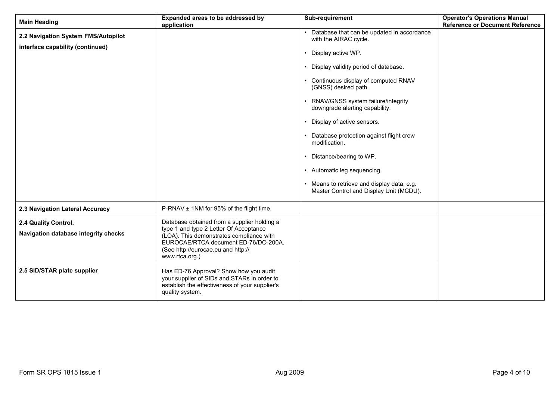| <b>Main Heading</b>                                                     | Expanded areas to be addressed by<br>application                                                                                                                                   | Sub-requirement                                                                                                                                                                                                                                                                                                                                                                                                                                                                                                                 | <b>Operator's Operations Manual</b><br><b>Reference or Document Reference</b> |
|-------------------------------------------------------------------------|------------------------------------------------------------------------------------------------------------------------------------------------------------------------------------|---------------------------------------------------------------------------------------------------------------------------------------------------------------------------------------------------------------------------------------------------------------------------------------------------------------------------------------------------------------------------------------------------------------------------------------------------------------------------------------------------------------------------------|-------------------------------------------------------------------------------|
| 2.2 Navigation System FMS/Autopilot<br>interface capability (continued) |                                                                                                                                                                                    | Database that can be updated in accordance<br>with the AIRAC cycle.<br>Display active WP.<br>• Display validity period of database.<br>• Continuous display of computed RNAV<br>(GNSS) desired path.<br>• RNAV/GNSS system failure/integrity<br>downgrade alerting capability.<br>• Display of active sensors.<br>Database protection against flight crew<br>modification.<br>• Distance/bearing to WP.<br>• Automatic leg sequencing.<br>• Means to retrieve and display data, e.g.<br>Master Control and Display Unit (MCDU). |                                                                               |
| 2.3 Navigation Lateral Accuracy                                         | P-RNAV ± 1NM for 95% of the flight time.                                                                                                                                           |                                                                                                                                                                                                                                                                                                                                                                                                                                                                                                                                 |                                                                               |
|                                                                         | Database obtained from a supplier holding a                                                                                                                                        |                                                                                                                                                                                                                                                                                                                                                                                                                                                                                                                                 |                                                                               |
| 2.4 Quality Control.<br>Navigation database integrity checks            | type 1 and type 2 Letter Of Acceptance<br>(LOA). This demonstrates compliance with<br>EUROCAE/RTCA document ED-76/DO-200A.<br>(See http://eurocae.eu and http://<br>www.rtca.org.) |                                                                                                                                                                                                                                                                                                                                                                                                                                                                                                                                 |                                                                               |
| 2.5 SID/STAR plate supplier                                             | Has ED-76 Approval? Show how you audit<br>your supplier of SIDs and STARs in order to<br>establish the effectiveness of your supplier's<br>quality system.                         |                                                                                                                                                                                                                                                                                                                                                                                                                                                                                                                                 |                                                                               |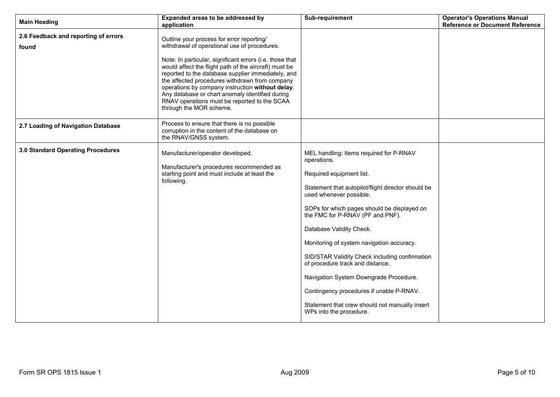| <b>Main Heading</b>                           | Expanded areas to be addressed by<br>application                                                                                                                                                                                                                                                                                                                                                                                                                                                         | <b>Sub-requirement</b>                                                                                                                                                                                                                                                                                                                                                                                                                                                                                                                                                                   | <b>Operator's Operations Manual</b><br><b>Reference or Document Reference</b> |
|-----------------------------------------------|----------------------------------------------------------------------------------------------------------------------------------------------------------------------------------------------------------------------------------------------------------------------------------------------------------------------------------------------------------------------------------------------------------------------------------------------------------------------------------------------------------|------------------------------------------------------------------------------------------------------------------------------------------------------------------------------------------------------------------------------------------------------------------------------------------------------------------------------------------------------------------------------------------------------------------------------------------------------------------------------------------------------------------------------------------------------------------------------------------|-------------------------------------------------------------------------------|
| 2.6 Feedback and reporting of errors<br>found | Outline your process for error reporting/<br>withdrawal of operational use of procedures.<br>Note: In particular, significant errors (i.e. those that<br>would affect the flight path of the aircraft) must be<br>reported to the database supplier immediately, and<br>the affected procedures withdrawn from company<br>operations by company instruction without delay.<br>Any database or chart anomaly identified during<br>RNAV operations must be reported to the SCAA<br>through the MOR scheme. |                                                                                                                                                                                                                                                                                                                                                                                                                                                                                                                                                                                          |                                                                               |
| 2.7 Loading of Navigation Database            | Process to ensure that there is no possible<br>corruption in the content of the database on<br>the RNAV/GNSS system.                                                                                                                                                                                                                                                                                                                                                                                     |                                                                                                                                                                                                                                                                                                                                                                                                                                                                                                                                                                                          |                                                                               |
| 3.0 Standard Operating Procedures             | Manufacturer/operator developed.<br>Manufacturer's procedures recommended as<br>starting point and must include at least the<br>following.                                                                                                                                                                                                                                                                                                                                                               | MEL handling: Items required for P-RNAV<br>operations.<br>Required equipment list.<br>Statement that autopilot/flight director should be<br>used whenever possible.<br>SOPs for which pages should be displayed on<br>the FMC for P-RNAV (PF and PNF).<br>Database Validity Check.<br>Monitoring of system navigation accuracy.<br>SID/STAR Validity Check including confirmation<br>of procedure track and distance.<br>Navigation System Downgrade Procedure.<br>Contingency procedures if unable P-RNAV.<br>Statement that crew should not manually insert<br>WPs into the procedure. |                                                                               |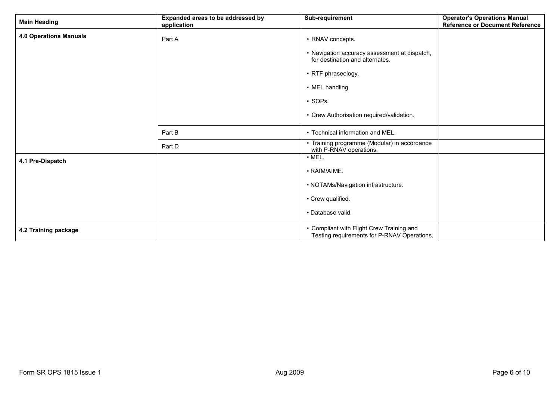| <b>Main Heading</b>           | Expanded areas to be addressed by<br>application | Sub-requirement                                                                          | <b>Operator's Operations Manual</b><br><b>Reference or Document Reference</b> |
|-------------------------------|--------------------------------------------------|------------------------------------------------------------------------------------------|-------------------------------------------------------------------------------|
| <b>4.0 Operations Manuals</b> | Part A                                           | • RNAV concepts.                                                                         |                                                                               |
|                               |                                                  | • Navigation accuracy assessment at dispatch,<br>for destination and alternates.         |                                                                               |
|                               |                                                  | • RTF phraseology.                                                                       |                                                                               |
|                               |                                                  | • MEL handling.                                                                          |                                                                               |
|                               |                                                  | · SOPs.                                                                                  |                                                                               |
|                               |                                                  | • Crew Authorisation required/validation.                                                |                                                                               |
|                               | Part B                                           | • Technical information and MEL.                                                         |                                                                               |
|                               | Part D                                           | • Training programme (Modular) in accordance<br>with P-RNAV operations.                  |                                                                               |
| 4.1 Pre-Dispatch              |                                                  | $\cdot$ MEL.                                                                             |                                                                               |
|                               |                                                  | • RAIM/AIME.                                                                             |                                                                               |
|                               |                                                  | • NOTAMs/Navigation infrastructure.                                                      |                                                                               |
|                               |                                                  | • Crew qualified.                                                                        |                                                                               |
|                               |                                                  | · Database valid.                                                                        |                                                                               |
| 4.2 Training package          |                                                  | • Compliant with Flight Crew Training and<br>Testing requirements for P-RNAV Operations. |                                                                               |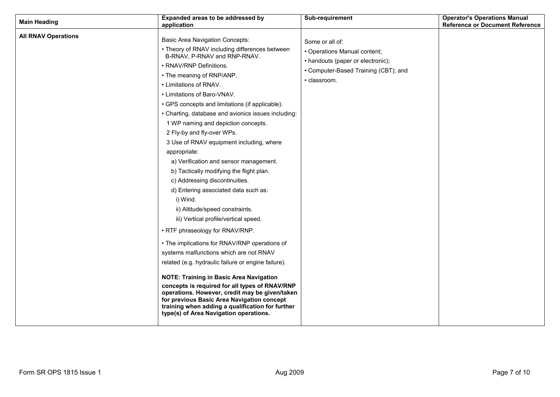| <b>Main Heading</b>        | Expanded areas to be addressed by<br>application                                                                                                                                                                                                                                                                                                                                                                                                                                                                                                                                                                                                                                                                                                                                                                                                                                                                                                                                                                                                                                                                                                                                                                                     | Sub-requirement                                                                                                                              | <b>Operator's Operations Manual</b><br><b>Reference or Document Reference</b> |
|----------------------------|--------------------------------------------------------------------------------------------------------------------------------------------------------------------------------------------------------------------------------------------------------------------------------------------------------------------------------------------------------------------------------------------------------------------------------------------------------------------------------------------------------------------------------------------------------------------------------------------------------------------------------------------------------------------------------------------------------------------------------------------------------------------------------------------------------------------------------------------------------------------------------------------------------------------------------------------------------------------------------------------------------------------------------------------------------------------------------------------------------------------------------------------------------------------------------------------------------------------------------------|----------------------------------------------------------------------------------------------------------------------------------------------|-------------------------------------------------------------------------------|
| <b>All RNAV Operations</b> | <b>Basic Area Navigation Concepts:</b><br>• Theory of RNAV including differences between<br>B-RNAV, P-RNAV and RNP-RNAV.<br>• RNAV/RNP Definitions.<br>• The meaning of RNP/ANP.<br>• Limitations of RNAV.<br>• Limitations of Baro-VNAV.<br>• GPS concepts and limitations (if applicable).<br>• Charting, database and avionics issues including:<br>1 WP naming and depiction concepts.<br>2 Fly-by and fly-over WPs.<br>3 Use of RNAV equipment including, where<br>appropriate:<br>a) Verification and sensor management.<br>b) Tactically modifying the flight plan.<br>c) Addressing discontinuities.<br>d) Entering associated data such as:<br>i) Wind.<br>ii) Altitude/speed constraints.<br>iii) Vertical profile/vertical speed.<br>• RTF phraseology for RNAV/RNP.<br>• The implications for RNAV/RNP operations of<br>systems malfunctions which are not RNAV<br>related (e.g. hydraulic failure or engine failure).<br><b>NOTE: Training in Basic Area Navigation</b><br>concepts is required for all types of RNAV/RNP<br>operations. However, credit may be given/taken<br>for previous Basic Area Navigation concept<br>training when adding a qualification for further<br>type(s) of Area Navigation operations. | Some or all of:<br>• Operations Manual content;<br>• handouts (paper or electronic);<br>• Computer-Based Training (CBT); and<br>• classroom. |                                                                               |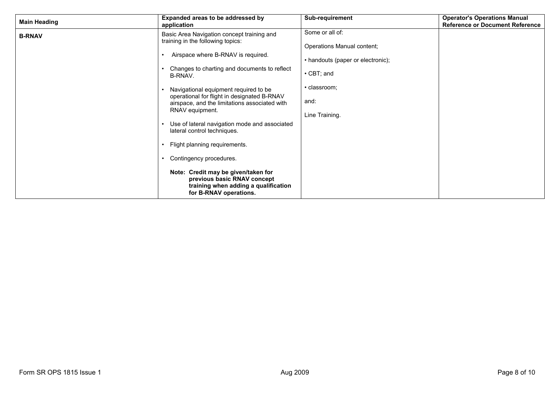| <b>Main Heading</b> | Expanded areas to be addressed by<br>application                                                                                                                                                                                                                                                                                                                                                                                                                                                                                                                                                                                 | Sub-requirement                                                                                                                                  | <b>Operator's Operations Manual</b><br><b>Reference or Document Reference</b> |
|---------------------|----------------------------------------------------------------------------------------------------------------------------------------------------------------------------------------------------------------------------------------------------------------------------------------------------------------------------------------------------------------------------------------------------------------------------------------------------------------------------------------------------------------------------------------------------------------------------------------------------------------------------------|--------------------------------------------------------------------------------------------------------------------------------------------------|-------------------------------------------------------------------------------|
| <b>B-RNAV</b>       | Basic Area Navigation concept training and<br>training in the following topics:<br>Airspace where B-RNAV is required.<br>Changes to charting and documents to reflect<br>B-RNAV.<br>Navigational equipment required to be<br>operational for flight in designated B-RNAV<br>airspace, and the limitations associated with<br>RNAV equipment.<br>Use of lateral navigation mode and associated<br>lateral control techniques.<br>Flight planning requirements.<br>Contingency procedures.<br>Note: Credit may be given/taken for<br>previous basic RNAV concept<br>training when adding a qualification<br>for B-RNAV operations. | Some or all of:<br>Operations Manual content;<br>• handouts (paper or electronic);<br>$\cdot$ CBT; and<br>· classroom:<br>and:<br>Line Training. |                                                                               |